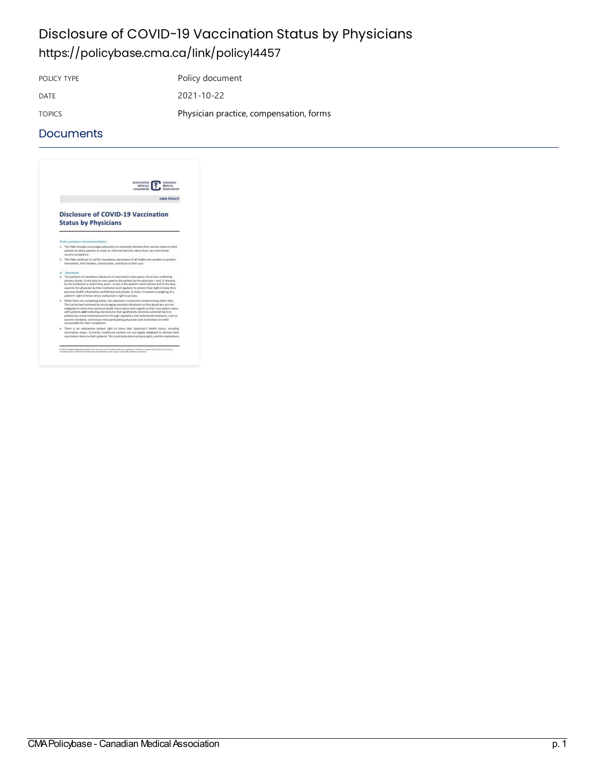### Disclosure of COVID-19 Vaccination Status by Physicians <https://policybase.cma.ca/link/policy14457>

POLICY TYPE POLICY TYPE DATE 2021-10-22 TOPICS **Physician practice, compensation, forms** 

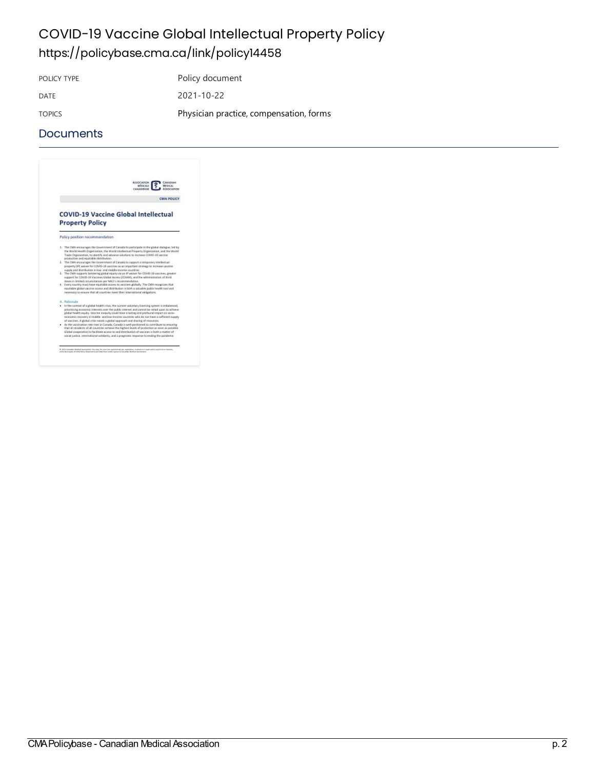### COVID-19 Vaccine Global Intellectual Property Policy <https://policybase.cma.ca/link/policy14458>

POLICY TYPE POLICY TYPE

DATE 2021-10-22 TOPICS **Physician practice, compensation, forms** 

#### **Documents**



 $\label{thm:main} 0.303\text{ Gaussian likelihood time} is an infinite value, we may have some same values in any exponential value of the being bounded by a multiple of the two points.}$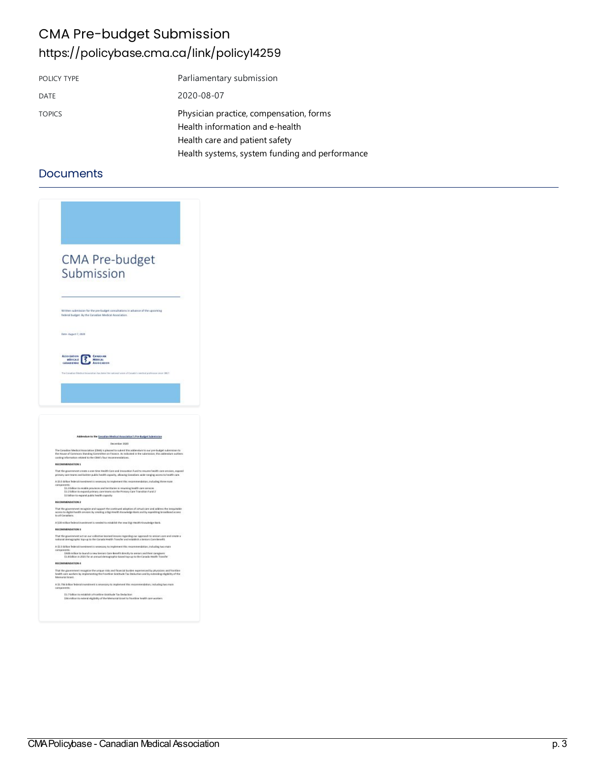### CMA Pre-budget Submission <https://policybase.cma.ca/link/policy14259>

| POLICY TYPE   | Parliamentary submission                                                                                     |
|---------------|--------------------------------------------------------------------------------------------------------------|
| <b>DATE</b>   | 2020-08-07                                                                                                   |
| <b>TOPICS</b> | Physician practice, compensation, forms<br>Health information and e-health<br>Health care and patient safety |
|               | Health systems, system funding and performance                                                               |

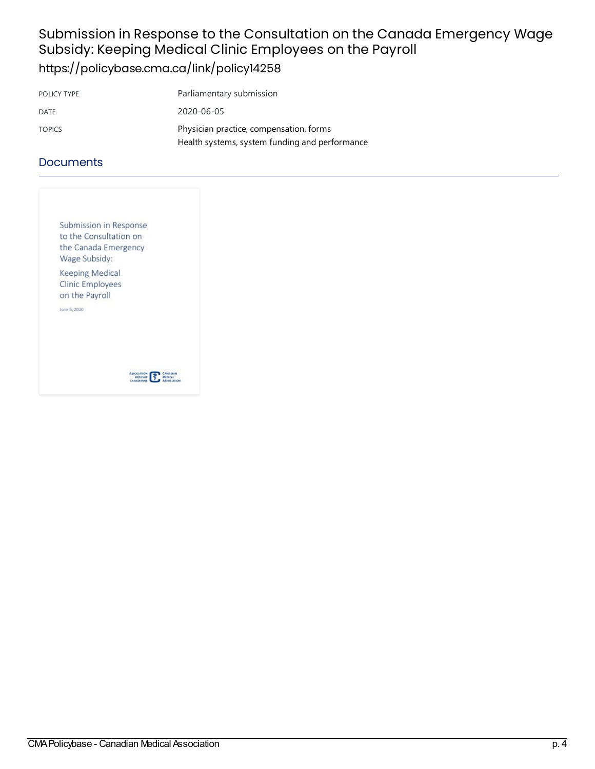### Submission in Response to the Consultation on the Canada Emergency Wage Subsidy: Keeping Medical Clinic Employees on the Payroll <https://policybase.cma.ca/link/policy14258>

| POLICY TYPE   | Parliamentary submission                                                                  |
|---------------|-------------------------------------------------------------------------------------------|
| DATE          | 2020-06-05                                                                                |
| <b>TOPICS</b> | Physician practice, compensation, forms<br>Health systems, system funding and performance |

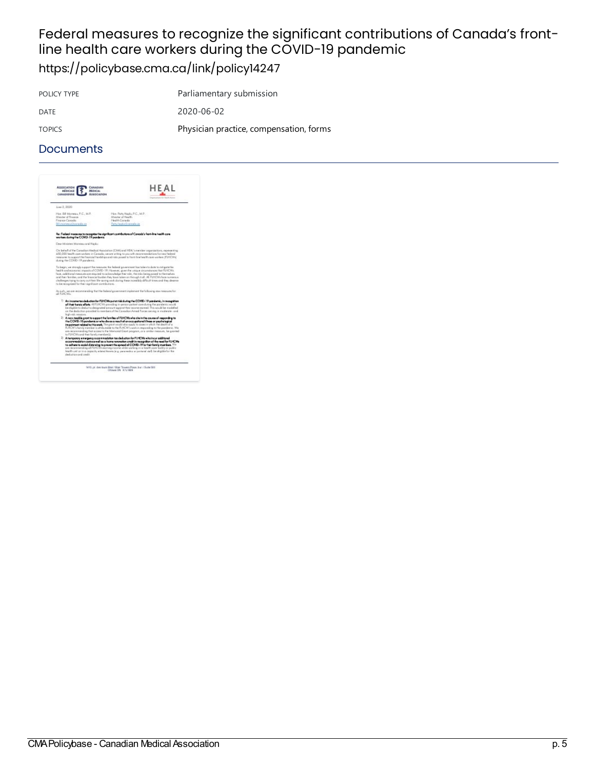# Federal measures to recognize the significant contributions of Canada's frontline health care workers during the COVID-19 pandemic

<https://policybase.cma.ca/link/policy14247>

POLICY TYPE Parliamentary submission DATE 2020-06-02 TOPICS **Physician practice, compensation, forms** 

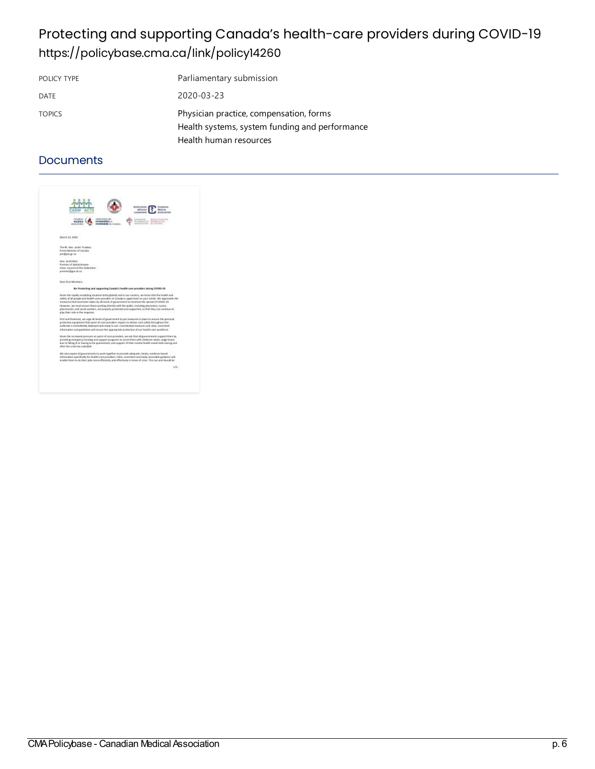## Protecting and supporting Canada's health-care providers during COVID-19 <https://policybase.cma.ca/link/policy14260>

| POLICY TYPE   | Parliamentary submission                                                                  |
|---------------|-------------------------------------------------------------------------------------------|
| DATE          | 2020-03-23                                                                                |
| <b>TOPICS</b> | Physician practice, compensation, forms<br>Health systems, system funding and performance |
|               | Health human resources                                                                    |

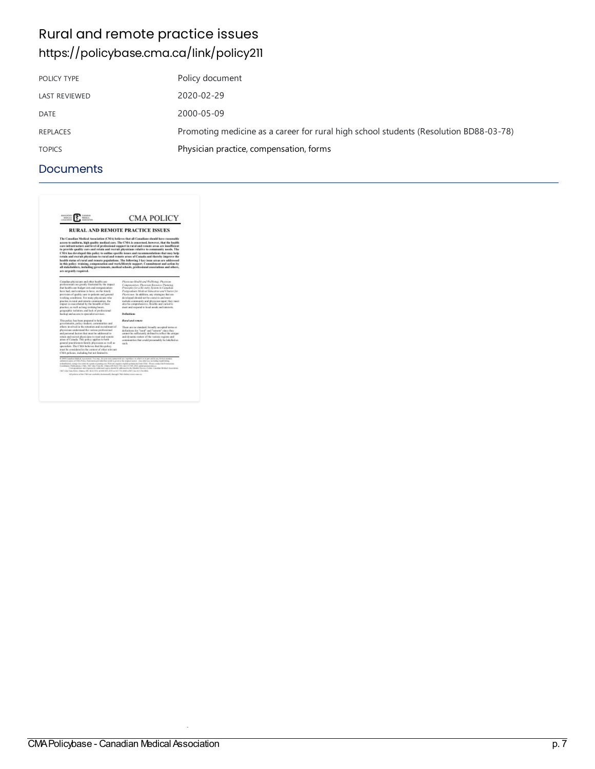# Rural and remote practice issues <https://policybase.cma.ca/link/policy211>

| POLICY TYPE          | Policy document                                                                       |
|----------------------|---------------------------------------------------------------------------------------|
| <b>LAST REVIEWED</b> | 2020-02-29                                                                            |
| <b>DATE</b>          | 2000-05-09                                                                            |
| <b>REPLACES</b>      | Promoting medicine as a career for rural high school students (Resolution BD88-03-78) |
| <b>TOPICS</b>        | Physician practice, compensation, forms                                               |
|                      |                                                                                       |

| <b>RURAL AND REMOTE PRACTICE ISSUES</b><br>The Canadian Medical Association (CMA) believes that all Canadians decaid have reasonable<br>access to uniform, high quality medical care. The CMA is concerned, however, that the health<br>care infrastructure and level of professional exposet in rural and remote areas are insufficient<br>to provide quality care and retain and recruit altreicians relative to community needs. The<br>CMA has developed this policy to entities specific issues and recommendations that may help<br>retain and recruit physicians to rural and remote areas of Canada and thereby improve the<br>bealth status of rural and remote populations. The following 3 key issue areas are addressed<br>in this policy: training, compensation and work/illestyle support. Commitment and action by<br>all stakeholders, including gevernments, medical schools, professional associations and others,<br>are argently required.                                                                                                                                                                             |                                                                                                                                                                                                                                                                                                                                                                                                                                                                                                                                                                                                                                                                                                                                                                         |
|---------------------------------------------------------------------------------------------------------------------------------------------------------------------------------------------------------------------------------------------------------------------------------------------------------------------------------------------------------------------------------------------------------------------------------------------------------------------------------------------------------------------------------------------------------------------------------------------------------------------------------------------------------------------------------------------------------------------------------------------------------------------------------------------------------------------------------------------------------------------------------------------------------------------------------------------------------------------------------------------------------------------------------------------------------------------------------------------------------------------------------------------|-------------------------------------------------------------------------------------------------------------------------------------------------------------------------------------------------------------------------------------------------------------------------------------------------------------------------------------------------------------------------------------------------------------------------------------------------------------------------------------------------------------------------------------------------------------------------------------------------------------------------------------------------------------------------------------------------------------------------------------------------------------------------|
| Canadian physicians and other health care.<br>preferaintials are goodly frastrated by the impact<br>that book's case budget cuts and reorganization.<br>keye had, and continue to keye, on the timely<br>prevision of quality care to patients and general<br>working conditions. For many physicians who<br>practice in raral and ristants communities, that<br>impact is exacerbated by the breakth of their<br>practice, as well as long weeking heres.<br>prographic inclution, and lack of prodostional<br>backer and access to mercalist services.<br>This policy has been prepared to help<br>potentiatures, reflex-stakers, communities and<br>sthese involved in the retention and recruitment of<br>physicians sinderstand the various professional<br>and personal factors that ascet be addressed to<br>source here in an accepted where it are not been a series<br>areas of Canada. This policy applies to beth<br>general practitioners family photosians as reed as<br>specialists. The CMA helicros that this policy.<br>must be considered in the context of other relevant<br>CMA solicies, including but not limited to | Plytholas New'th and Wellbring, Plexisson-<br>Comprassible, Physician Renautre Planning.<br>Principles for a Re-entry Jeston to Canadian<br>Postprodoste Medical Education and Charter for<br>Pitroterans, la addition, say staragies that are<br>Ireduced should not be contrive and must<br>include community and physician ineut; they must<br>also be comprehensive, fissible and varied to<br>ment and respond to local noods and interests.<br>Definitions<br>Royal and complet<br>There are no standard, broadly accepted terms or<br>definitions for "rural" and "ruracts" since they<br>cannot be sufficiently defined to reflect the unique-<br>and drivatnic nature of the various regions and<br>communities that reald receivably be labelled as-<br>cach. |
| C-2000 Conciliate Healing Automination. You may, the practice announced into terporising in orbits or in part until a say determinant research<br>animized aspire of CMA Policy Nutceasure per allel that studie is given to the original answer. Any other was including struktilating<br>solutionists to up the entired system or paring one With an replict replicit premistion than Chin. Please comes the Permissions<br>Consistence Publications CALL 1967 Mrs Visualle, Organizable CAL 199, the EET OL 2013, permissional and<br>1487 A.M. Vian Drive, Owens Ohi 32(6) PVs. winner 611-2101 at \$37.70, AASH (2007) Go \$13 2(n rest).<br>All mining of the CMA are confurbly characterizedly through CMA (bulker perspectively).                                                                                                                                                                                                                                                                                                                                                                                                   | Curregiostown at Fernande for cultivated aspire densit by submission de Hamber Gereice Center, Canadian Medical Association.                                                                                                                                                                                                                                                                                                                                                                                                                                                                                                                                                                                                                                            |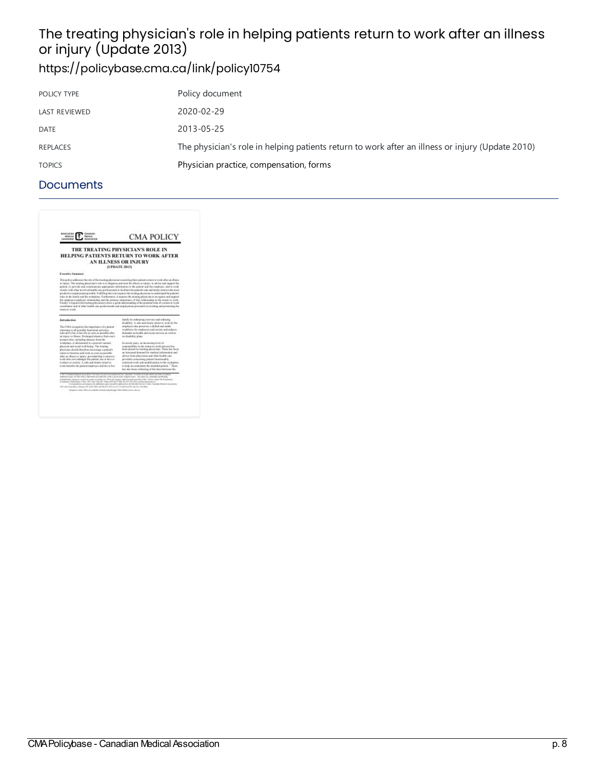# The treating physician's role in helping patients return to work after an illness me treating priyererant<br>or injury (Update 2013)

# <https://policybase.cma.ca/link/policy10754>

| POLICY TYPE          | Policy document                                                                                  |
|----------------------|--------------------------------------------------------------------------------------------------|
| <b>LAST REVIEWED</b> | 2020-02-29                                                                                       |
| <b>DATE</b>          | 2013-05-25                                                                                       |
| <b>REPLACES</b>      | The physician's role in helping patients return to work after an illness or injury (Update 2010) |
| <b>TOPICS</b>        | Physician practice, compensation, forms                                                          |
|                      |                                                                                                  |

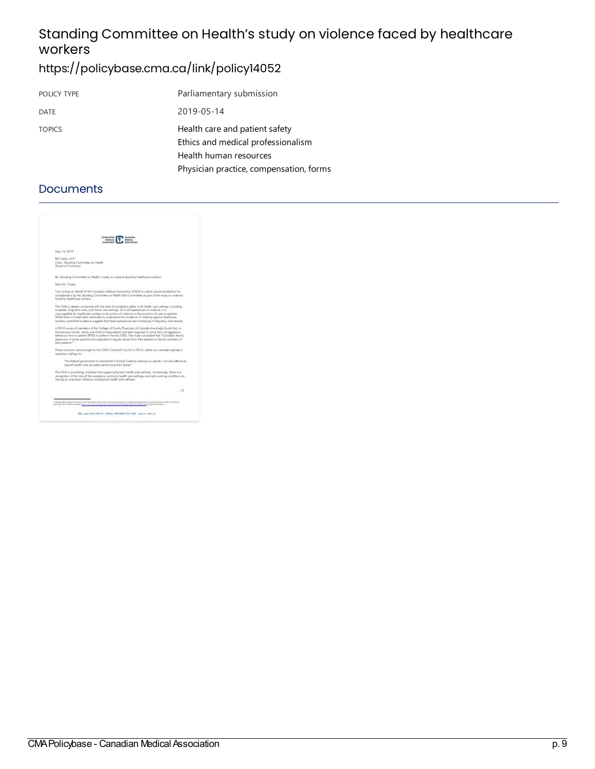### Standing Committee on Health's study on violence faced by healthcare workers

### <https://policybase.cma.ca/link/policy14052>

| POLICY TYPE   | Parliamentary submission                                                                       |
|---------------|------------------------------------------------------------------------------------------------|
| DATE          | 2019-05-14                                                                                     |
| <b>TOPICS</b> | Health care and patient safety<br>Ethics and medical professionalism<br>Health human resources |
|               | Physician practice, compensation, forms                                                        |

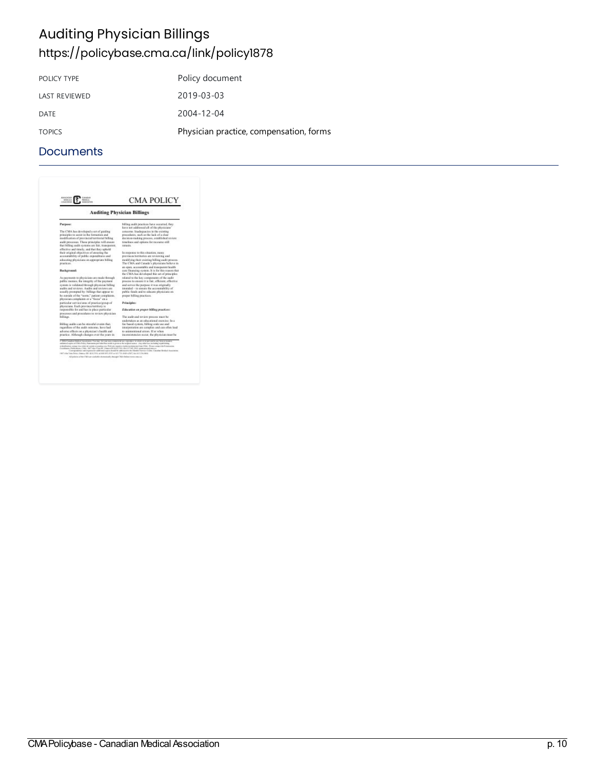# Auditing Physician Billings <https://policybase.cma.ca/link/policy1878>

| POLICY TYPE          | Policy document                         |
|----------------------|-----------------------------------------|
| <b>LAST REVIEWED</b> | 2019-03-03                              |
| DATE                 | $2004 - 12 - 04$                        |
| <b>TOPICS</b>        | Physician practice, compensation, forms |

| <b>ABOCKE</b><br>MISCAL<br>CROCERINE<br>MANAGEM                                                                                                                                                                                                                                                                                                                                                                                                                                                                                                                                                                                                        | <b>CMA POLICY</b>                                                                                                                                                                |
|--------------------------------------------------------------------------------------------------------------------------------------------------------------------------------------------------------------------------------------------------------------------------------------------------------------------------------------------------------------------------------------------------------------------------------------------------------------------------------------------------------------------------------------------------------------------------------------------------------------------------------------------------------|----------------------------------------------------------------------------------------------------------------------------------------------------------------------------------|
|                                                                                                                                                                                                                                                                                                                                                                                                                                                                                                                                                                                                                                                        | <b>Auditing Physician Billings</b>                                                                                                                                               |
| Parpess:                                                                                                                                                                                                                                                                                                                                                                                                                                                                                                                                                                                                                                               | billing audit practices have recentred, they<br>have not addressed all of the physicians"                                                                                        |
| The CMA has developed a set of guiding<br>principles to assist in the formation and<br>modification of previncial territorial billing<br>audit processes. Those principles will create                                                                                                                                                                                                                                                                                                                                                                                                                                                                 | concerns. Inadequacies in the existing<br>procedures, such as the lack of a clear<br>decision-rasking process, established review<br>ticackness and entions for recentee etil-   |
| that billing and it systems are fair, transmitted.                                                                                                                                                                                                                                                                                                                                                                                                                                                                                                                                                                                                     | repuls.                                                                                                                                                                          |
| effective and timely, and that they uphold.<br>their original objectives of ensuring the<br>accountability of nublic expenditures and<br>educating physicians on appropriate billing<br>pearless.                                                                                                                                                                                                                                                                                                                                                                                                                                                      | In response to this situation, cases<br>provinces/territories are reviewing and<br>modifying their existing billing audit process.<br>The CMA and Canada's physicians believe in |
| <b>Hackground:</b>                                                                                                                                                                                                                                                                                                                                                                                                                                                                                                                                                                                                                                     | an open, accountable and transparent health<br>care financing system. It is for this reason that<br>the CMA has developed this set of principles                                 |
| As payments to physicians are raule through<br>public raceics, the integrity of the payment.                                                                                                                                                                                                                                                                                                                                                                                                                                                                                                                                                           | related to the key components of the isadit<br>process to ensure it is fair, efficient, effective                                                                                |
| system is validated through physician billing<br>guilty and reviews. Audits and reviews are<br>assally prempted by: billings that appear to                                                                                                                                                                                                                                                                                                                                                                                                                                                                                                            | and sorros the purpose it was originally<br>intended - to essure the accountability of<br>public finads and to educate physicians on-                                            |
| be outside of the "morn," patient complaints.<br>physician complaints or a "fector" on a                                                                                                                                                                                                                                                                                                                                                                                                                                                                                                                                                               | proper billing practices.                                                                                                                                                        |
| particular service/area of practice/group of<br>physicians. Each previses/territory is                                                                                                                                                                                                                                                                                                                                                                                                                                                                                                                                                                 | Principles:                                                                                                                                                                      |
| responsible for and has in place particular<br>processes and procedures to review physician                                                                                                                                                                                                                                                                                                                                                                                                                                                                                                                                                            | Education on proper billing practices:                                                                                                                                           |
| billings.                                                                                                                                                                                                                                                                                                                                                                                                                                                                                                                                                                                                                                              | The audit and textew process must be                                                                                                                                             |
| Billing inglits can be stressful overas that.<br>regardless of the audit outcome, have had                                                                                                                                                                                                                                                                                                                                                                                                                                                                                                                                                             | endertaken as an educational exercise. In a<br>fee based system, billing code use and<br>interpretation are consolate and can offer lead                                         |
| advanto effects on a physician's baskh and<br>practice. Although changes over the years in                                                                                                                                                                                                                                                                                                                                                                                                                                                                                                                                                             | to unigranticeal genery. If or when<br>inconsistencies occur, the physician rates be-                                                                                            |
| C. 2014 Canadian Hadioa) households. You may, for your autocomposite sur, reproduce to while or in percent in only homes in one<br>antimised aspira at EBA Policy Natewean prevailed that strate is given to the original source. Any other was including separationing<br>and authorizes comparison anticopi cyclete or positing on a With also requires regular portraited than Ohio. Please compar the Permissions<br>Combinery Publications Child, 1967 Jahn Vissollei, Omniur (8) £ 202 FPA; Ga (11) Od. 2012; permi adversary process<br>1487 A.M. Vian Drive, Onersa (84) \$2.61 PVs, winner \$11,2410 at \$21.700 AASH (2007) Go \$12 216 AMA. | Currenteed may and expanse for caldivised aspire denied by address of the Manders Greene Center, Canadian Medical Association.                                                   |
| All mining of the CMA are confuder changes ally through CMA (indicate experiences).                                                                                                                                                                                                                                                                                                                                                                                                                                                                                                                                                                    |                                                                                                                                                                                  |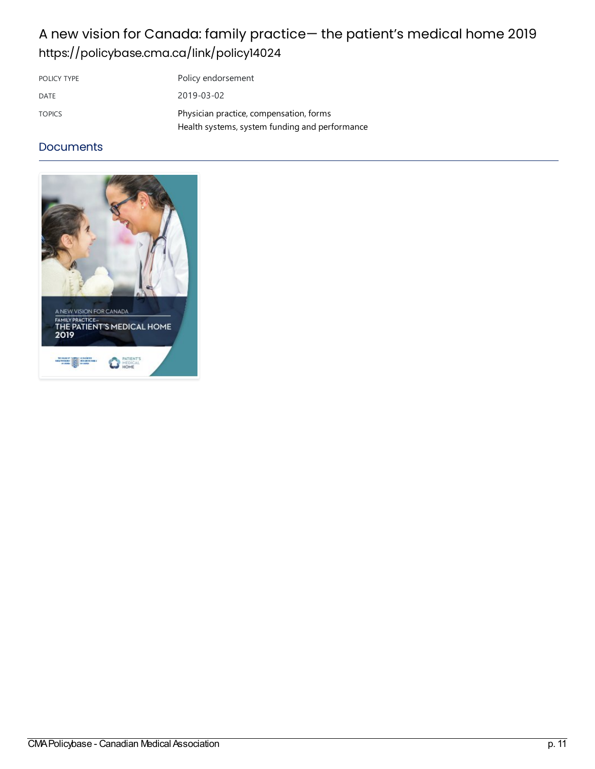## A new vision for Canada: family practice— the patient's medical home 2019 <https://policybase.cma.ca/link/policy14024>

| POLICY TYPE   | Policy endorsement                                                                        |
|---------------|-------------------------------------------------------------------------------------------|
| DATE          | 2019-03-02                                                                                |
| <b>TOPICS</b> | Physician practice, compensation, forms<br>Health systems, system funding and performance |

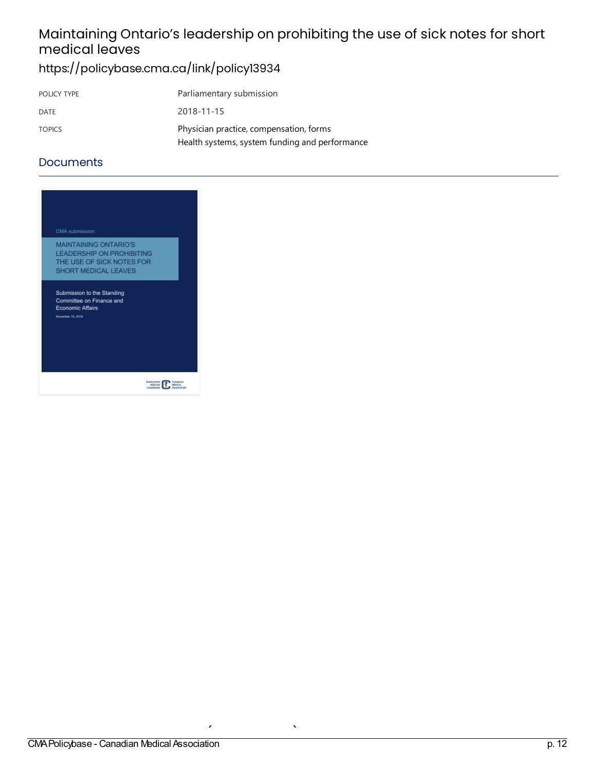# Maintaining Ontario's leadership on prohibiting the use of sick notes for short medical leaves

### <https://policybase.cma.ca/link/policy13934>

| POLICY TYPE   | Parliamentary submission                       |
|---------------|------------------------------------------------|
| DATE          | 2018-11-15                                     |
| <b>TOPICS</b> | Physician practice, compensation, forms        |
|               | Health systems, system funding and performance |

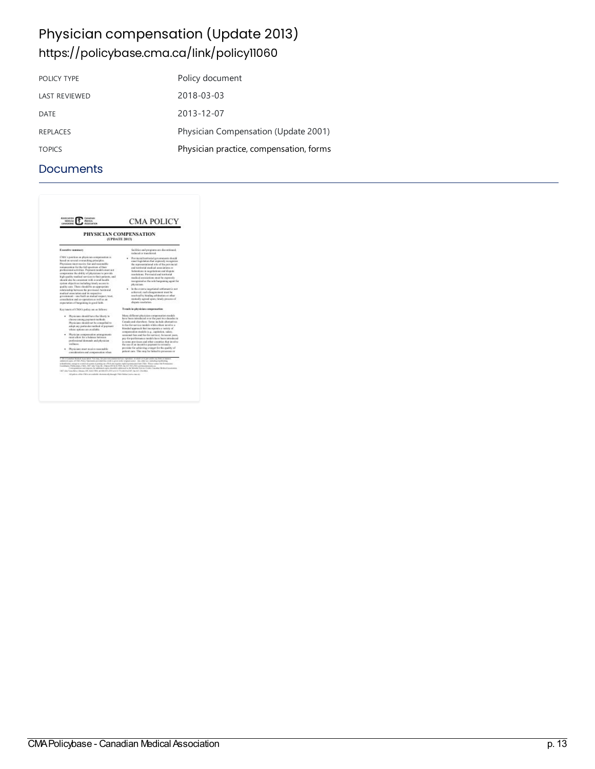## Physician compensation (Update 2013) <https://policybase.cma.ca/link/policy11060>

| POLICY TYPE          | Policy document                         |
|----------------------|-----------------------------------------|
| <b>LAST REVIEWED</b> | 2018-03-03                              |
| DATE                 | 2013-12-07                              |
| <b>REPLACES</b>      | Physician Compensation (Update 2001)    |
| <b>TOPICS</b>        | Physician practice, compensation, forms |

| <b>Association</b><br>CANADIAN<br>MOCAR<br><b>Mapical</b><br>Association<br><b>ANADEMIE</b>                                                                                                                                                                                                                                                                                                                                                                                                                                                                                                                                        | <b>CMA POLICY</b>                                                                                                                                                                                                                                                                                                                                                                |  |
|------------------------------------------------------------------------------------------------------------------------------------------------------------------------------------------------------------------------------------------------------------------------------------------------------------------------------------------------------------------------------------------------------------------------------------------------------------------------------------------------------------------------------------------------------------------------------------------------------------------------------------|----------------------------------------------------------------------------------------------------------------------------------------------------------------------------------------------------------------------------------------------------------------------------------------------------------------------------------------------------------------------------------|--|
| PHYSICIAN COMPENSATION<br>(UPDATE 2013)                                                                                                                                                                                                                                                                                                                                                                                                                                                                                                                                                                                            |                                                                                                                                                                                                                                                                                                                                                                                  |  |
| Executive summary                                                                                                                                                                                                                                                                                                                                                                                                                                                                                                                                                                                                                  | facilities and programs are discontinued.<br>reclaced or transferred.                                                                                                                                                                                                                                                                                                            |  |
| CMA's pushing on physician marganuation is<br>kased on several everarching principles.<br>Phyricians runst renewe fair and reasonable<br>remaneration for the fall assettant of their<br>prefereiread activities. Premant models must not<br>obiverag at autoicide of plays advancements<br>high quality studies) services to their patients, and<br>dead throw die receiver and sold health<br>of corporation in the said and purplement and an                                                                                                                                                                                   | Previncial/temiterial exceptures); should<br>exact legislation that auprendy neognitus<br>the representational role of the representation<br>and testitorial modical accordations or<br>federations in equitations and dispute-<br>resolutions. Previncial and temberial<br>readical associations next be opposedy<br>recognized as the sole bargaining appet for<br>plyvärians. |  |
| goal by care. There should be an appropriate<br>relationship between the previousal Autriceial<br>medical association and its reconstive-<br>from Joness last on the fight one-manners recognized<br>ness to firm as and no-operation as well as an<br>expectation of burgaining in good faith.                                                                                                                                                                                                                                                                                                                                    | In the event a negotiated settlement is not<br>ackieved, such disagreement must be<br>resolved by hinding arbitration or other<br>racateally agreed upon, timely process of<br>dispute resultation.                                                                                                                                                                              |  |
| Ken tracts of CMA's police am as follows:                                                                                                                                                                                                                                                                                                                                                                                                                                                                                                                                                                                          | Trends in physician compensation                                                                                                                                                                                                                                                                                                                                                 |  |
| · Physicians should have the liberty to<br>chross among payment racticula.<br>Physicians should not be compelled to<br>adopt any posticular radius of payment.<br>where motions are available.                                                                                                                                                                                                                                                                                                                                                                                                                                     | Many different physician componenties medals.<br>have been introduced ever the past two decades in<br>Canada and obarations. Sums include alternatives.<br>to the for-service models while ethers involve a<br>blunded approach that incorporate a variety of<br>responsation models (e.g., capitation, salary,                                                                  |  |
| . Physician reorganization arrangements<br>must allow for a halance between<br>professional demands and physician<br>well becar.                                                                                                                                                                                                                                                                                                                                                                                                                                                                                                   | septional fairs and for-fire-service). In recent years,<br>are for exclanations models have been introduced<br>in some previouss and other constrict that involve-<br>the tea of an incentive payment to retruct a                                                                                                                                                               |  |
| · Physicians must meeter reasonable<br>consideration and compensation when                                                                                                                                                                                                                                                                                                                                                                                                                                                                                                                                                         | previder for adhieving a target for the quality of<br>patient cars. This may be listind to processes or                                                                                                                                                                                                                                                                          |  |
| F-26' of Cunadian Modical Association. Your trace, for price suite constructed and reproduce, incubible at its pate analise on the form at manner.<br>admitsed upon aRTMA Policy Kasymans presided that result is given to the ariginal account. Any other one, including expeditioning<br>solutificates, energy to contributing sees or putting on a Richald require explicit premission from CMA. Please notice the Pennissimo<br>Combane Publication, CMA, 187 and Von St., Onesa ONS 45 FWA for (1) NG2012 permeabook area on<br>1407 Also Vice-Reno Geogra (EN \$100 FRE) at metablicities of 17 Lening CIP, by \$11 216 FREE | Caravanniews and regions for additional aspire abundable addressed to the Member fore far Centre. Canadian Medical Academists<br>All salesy white Chilin personalistic chemicals through Chilin Online traces conceiv-                                                                                                                                                           |  |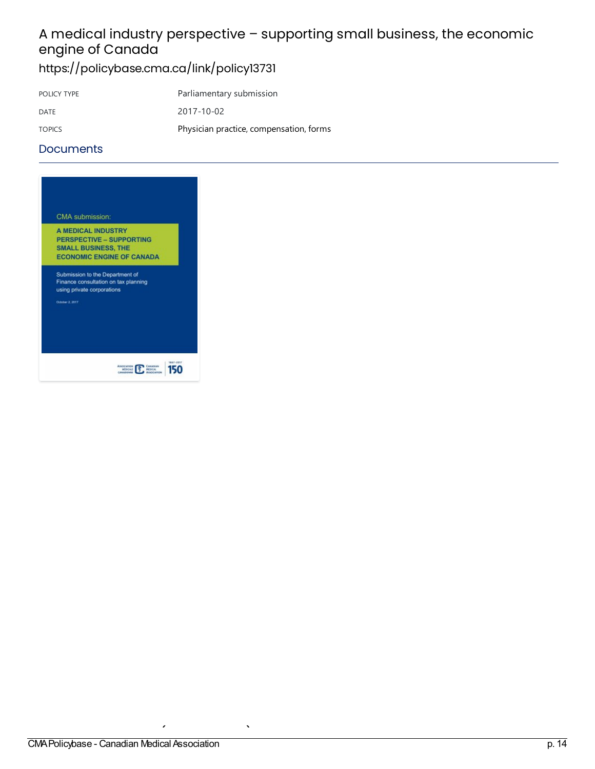# A medical industry perspective – supporting small business, the economic engine of Canada

<https://policybase.cma.ca/link/policy13731>

| POLICY TYPE   | Parliamentary submission                |
|---------------|-----------------------------------------|
| DATE          | 2017-10-02                              |
| <b>TOPICS</b> | Physician practice, compensation, forms |

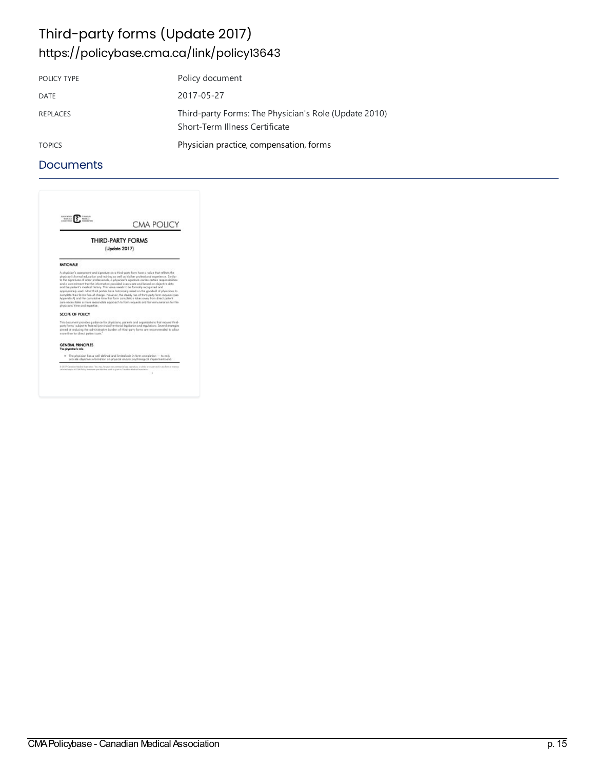### Third-party forms (Update 2017) <https://policybase.cma.ca/link/policy13643>

| POLICY TYPE     | Policy document                                                                         |
|-----------------|-----------------------------------------------------------------------------------------|
| DATE            | 2017-05-27                                                                              |
| <b>REPLACES</b> | Third-party Forms: The Physician's Role (Update 2010)<br>Short-Term Illness Certificate |
| <b>TOPICS</b>   | Physician practice, compensation, forms                                                 |

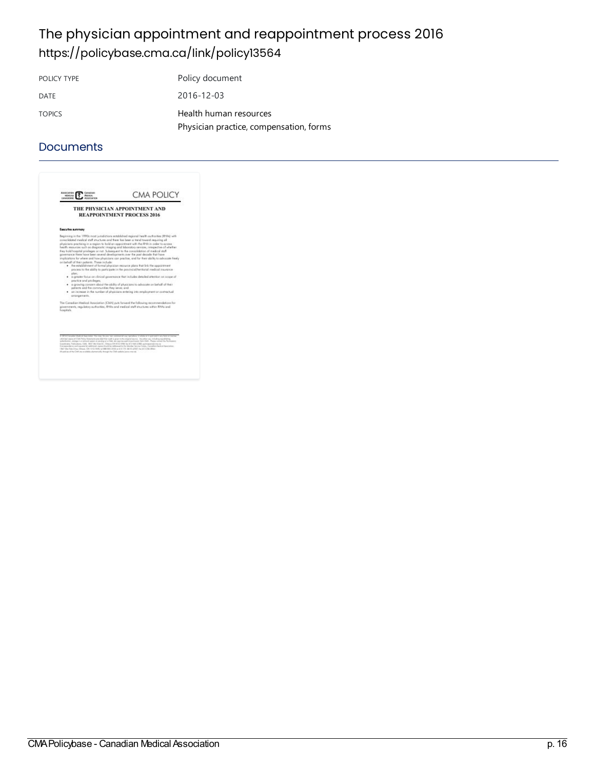## The physician appointment and reappointment process 2016 <https://policybase.cma.ca/link/policy13564>

POLICY TYPE Policy document DATE 2016-12-03 TOPICS Health human [resources](https://policybase.cma.ca/list?q=topic%253A%2522Health%20human%20resources%2522&p=1&ps=&sort=title_sort%20asc) Physician practice, compensation, forms

|                                                                                                                                                 | THE PHYSICIAN APPOINTMENT AND<br><b>REAPPOINTMENT PROCESS 2016</b>                                                                                                                                                                                                                                                                                                                                                                                                                                                                                                                                                                                                                                                                                                                                                                                                                                                                                                                                                                                                                                          |
|-------------------------------------------------------------------------------------------------------------------------------------------------|-------------------------------------------------------------------------------------------------------------------------------------------------------------------------------------------------------------------------------------------------------------------------------------------------------------------------------------------------------------------------------------------------------------------------------------------------------------------------------------------------------------------------------------------------------------------------------------------------------------------------------------------------------------------------------------------------------------------------------------------------------------------------------------------------------------------------------------------------------------------------------------------------------------------------------------------------------------------------------------------------------------------------------------------------------------------------------------------------------------|
| Executive summary                                                                                                                               |                                                                                                                                                                                                                                                                                                                                                                                                                                                                                                                                                                                                                                                                                                                                                                                                                                                                                                                                                                                                                                                                                                             |
| on beholf of their petients. These include:<br>alon:<br>aspetice and asyleges:<br>patients and the communities they serve; and<br>garangements. | to separate meeting meet a meet and there are the posterior between beautiful and<br>physicians practising in a region to hald an appointment with the RHA in order to access<br>health resources such as diagnostic imaging and loboratory services, images tim of whether<br>they bold hospital privileges or not. Subsequent to the consolidation of medical staff<br>powersance there have been several developments over the past decade that have<br>insplications for where and how physicians can practise, and for their ability to advocate treely.<br>. The establishment of formal alweigies resource along that link the appointment<br>elected to the ability to participate in the provincial/territorial medical insurance -<br>· suggester focus on clinical powers ance that includes detailed attention on scope of<br>. In growing concern about the ability of plysicians to advocate on behalf of their<br>. In increase in the number of physicians estering into employment or contractual<br>The Canadian Medical Association (CMA) puts forward the following seconosydeticss for |
| hospitals.                                                                                                                                      | povernments, regulatory authorities. RHAs and medical staff stuctures within RHAs and                                                                                                                                                                                                                                                                                                                                                                                                                                                                                                                                                                                                                                                                                                                                                                                                                                                                                                                                                                                                                       |
|                                                                                                                                                 |                                                                                                                                                                                                                                                                                                                                                                                                                                                                                                                                                                                                                                                                                                                                                                                                                                                                                                                                                                                                                                                                                                             |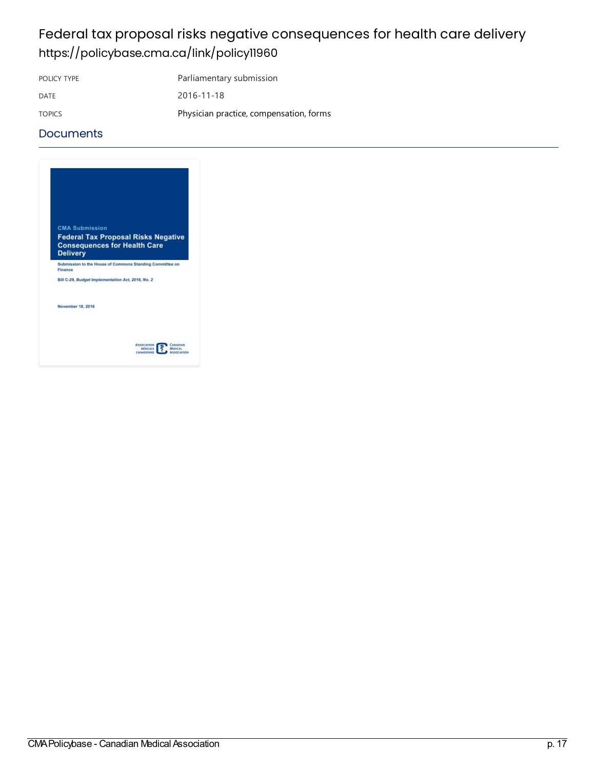## Federal tax proposal risks negative consequences for health care delivery <https://policybase.cma.ca/link/policy11960>

POLICY TYPE Parliamentary submission

DATE 2016-11-18 TOPICS **Physician practice, compensation, forms** 

| <b>CMA Submission</b> |                                                                                   |  |
|-----------------------|-----------------------------------------------------------------------------------|--|
| <b>Delivery</b>       | <b>Federal Tax Proposal Risks Negative</b><br><b>Consequences for Health Care</b> |  |
| Finance               | Submission to the House of Commons Standing Committee on                          |  |
|                       | Bill C-29, Budget Implementation Act, 2016, No. 2                                 |  |
| November 18, 2016     |                                                                                   |  |
|                       |                                                                                   |  |
|                       |                                                                                   |  |
|                       | <b>ASSOCIATION</b><br>Саналин                                                     |  |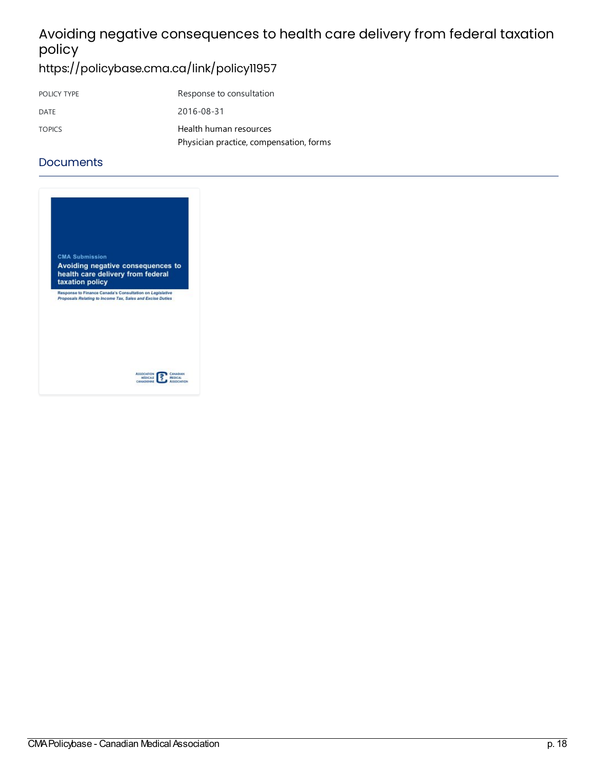# Avoiding negative consequences to health care delivery from federal taxation policy

<https://policybase.cma.ca/link/policy11957>

| POLICY TYPE   | Response to consultation                |
|---------------|-----------------------------------------|
| DATE          | 2016-08-31                              |
| <b>TOPICS</b> | Health human resources                  |
|               | Physician practice, compensation, forms |

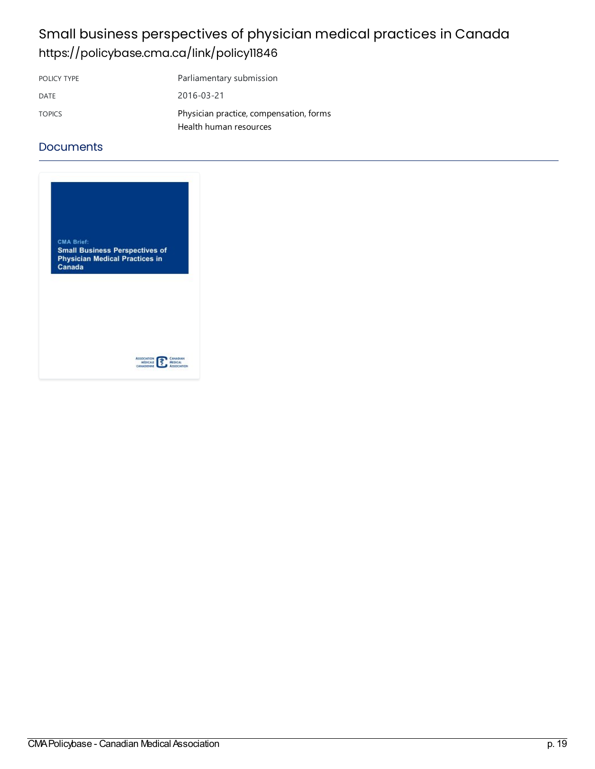## Small business perspectives of physician medical practices in Canada <https://policybase.cma.ca/link/policy11846>

| POLICY TYPE   | Parliamentary submission                |
|---------------|-----------------------------------------|
| DATE          | 2016-03-21                              |
| <b>TOPICS</b> | Physician practice, compensation, forms |
|               | Health human resources                  |